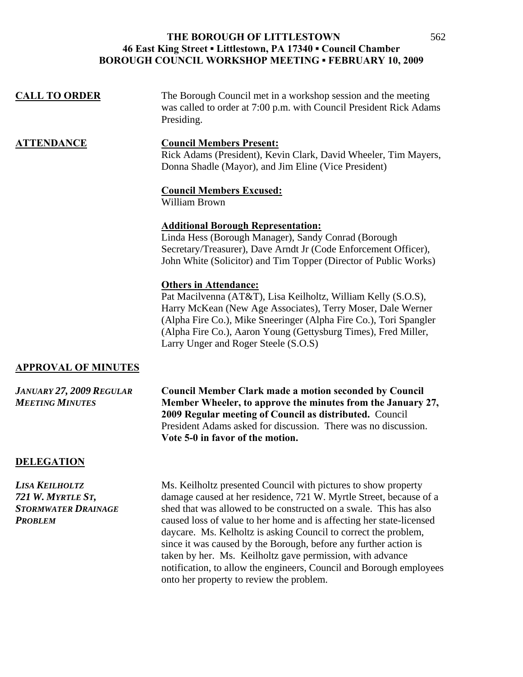| <b>CALL TO ORDER</b> | The Borough Council met in a workshop session and the meeting<br>was called to order at 7:00 p.m. with Council President Rick Adams<br>Presiding.                                                                                                                                                                                           |
|----------------------|---------------------------------------------------------------------------------------------------------------------------------------------------------------------------------------------------------------------------------------------------------------------------------------------------------------------------------------------|
| <b>ATTENDANCE</b>    | <b>Council Members Present:</b><br>Rick Adams (President), Kevin Clark, David Wheeler, Tim Mayers,<br>Donna Shadle (Mayor), and Jim Eline (Vice President)                                                                                                                                                                                  |
|                      | <b>Council Members Excused:</b><br>William Brown                                                                                                                                                                                                                                                                                            |
|                      | <b>Additional Borough Representation:</b><br>Linda Hess (Borough Manager), Sandy Conrad (Borough<br>Secretary/Treasurer), Dave Arndt Jr (Code Enforcement Officer),<br>John White (Solicitor) and Tim Topper (Director of Public Works)                                                                                                     |
|                      | <b>Others in Attendance:</b><br>Pat Macilvenna (AT&T), Lisa Keilholtz, William Kelly (S.O.S),<br>Harry McKean (New Age Associates), Terry Moser, Dale Werner<br>(Alpha Fire Co.), Mike Sneeringer (Alpha Fire Co.), Tori Spangler<br>(Alpha Fire Co.), Aaron Young (Gettysburg Times), Fred Miller,<br>Larry Unger and Roger Steele (S.O.S) |

# **APPROVAL OF MINUTES**

*JANUARY 27, 2009 REGULAR* **Council Member Clark made a motion seconded by Council**  *MEETING MINUTES* **Member Wheeler, to approve the minutes from the January 27, 2009 Regular meeting of Council as distributed.** Council President Adams asked for discussion. There was no discussion. **Vote 5-0 in favor of the motion.**

#### **DELEGATION**

*LISA KEILHOLTZ* Ms. Keilholtz presented Council with pictures to show property *721 W. MYRTLE ST,* damage caused at her residence, 721 W. Myrtle Street, because of a **STORMWATER DRAINAGE** shed that was allowed to be constructed on a swale. This has also *PROBLEM* caused loss of value to her home and is affecting her state-licensed daycare. Ms. Kelholtz is asking Council to correct the problem, since it was caused by the Borough, before any further action is taken by her. Ms. Keilholtz gave permission, with advance notification, to allow the engineers, Council and Borough employees onto her property to review the problem.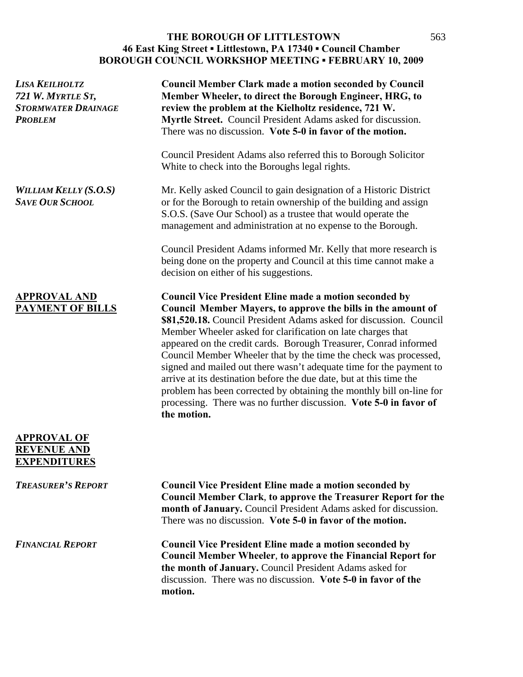| <b>LISA KEILHOLTZ</b><br>721 W. MYRTLE ST,<br><b>STORMWATER DRAINAGE</b><br><b>PROBLEM</b> | <b>Council Member Clark made a motion seconded by Council</b><br>Member Wheeler, to direct the Borough Engineer, HRG, to<br>review the problem at the Kielholtz residence, 721 W.<br>Myrtle Street. Council President Adams asked for discussion.<br>There was no discussion. Vote 5-0 in favor of the motion.                                                                                                                                                                                                                                                                                                                                                                                                       |
|--------------------------------------------------------------------------------------------|----------------------------------------------------------------------------------------------------------------------------------------------------------------------------------------------------------------------------------------------------------------------------------------------------------------------------------------------------------------------------------------------------------------------------------------------------------------------------------------------------------------------------------------------------------------------------------------------------------------------------------------------------------------------------------------------------------------------|
|                                                                                            | Council President Adams also referred this to Borough Solicitor<br>White to check into the Boroughs legal rights.                                                                                                                                                                                                                                                                                                                                                                                                                                                                                                                                                                                                    |
| <b>WILLIAM KELLY (S.O.S)</b><br><b>SAVE OUR SCHOOL</b>                                     | Mr. Kelly asked Council to gain designation of a Historic District<br>or for the Borough to retain ownership of the building and assign<br>S.O.S. (Save Our School) as a trustee that would operate the<br>management and administration at no expense to the Borough.                                                                                                                                                                                                                                                                                                                                                                                                                                               |
|                                                                                            | Council President Adams informed Mr. Kelly that more research is<br>being done on the property and Council at this time cannot make a<br>decision on either of his suggestions.                                                                                                                                                                                                                                                                                                                                                                                                                                                                                                                                      |
| <b>APPROVAL AND</b><br><b>PAYMENT OF BILLS</b>                                             | <b>Council Vice President Eline made a motion seconded by</b><br>Council Member Mayers, to approve the bills in the amount of<br>\$81,520.18. Council President Adams asked for discussion. Council<br>Member Wheeler asked for clarification on late charges that<br>appeared on the credit cards. Borough Treasurer, Conrad informed<br>Council Member Wheeler that by the time the check was processed,<br>signed and mailed out there wasn't adequate time for the payment to<br>arrive at its destination before the due date, but at this time the<br>problem has been corrected by obtaining the monthly bill on-line for<br>processing. There was no further discussion. Vote 5-0 in favor of<br>the motion. |
| <b>APPROVAL OF</b><br><b>REVENUE AND</b><br><b>EXPENDITURES</b>                            |                                                                                                                                                                                                                                                                                                                                                                                                                                                                                                                                                                                                                                                                                                                      |
| <b>TREASURER'S REPORT</b>                                                                  | <b>Council Vice President Eline made a motion seconded by</b><br><b>Council Member Clark, to approve the Treasurer Report for the</b><br>month of January. Council President Adams asked for discussion.<br>There was no discussion. Vote 5-0 in favor of the motion.                                                                                                                                                                                                                                                                                                                                                                                                                                                |
| <b>FINANCIAL REPORT</b>                                                                    | <b>Council Vice President Eline made a motion seconded by</b><br><b>Council Member Wheeler, to approve the Financial Report for</b><br>the month of January. Council President Adams asked for<br>discussion. There was no discussion. Vote 5-0 in favor of the<br>motion.                                                                                                                                                                                                                                                                                                                                                                                                                                           |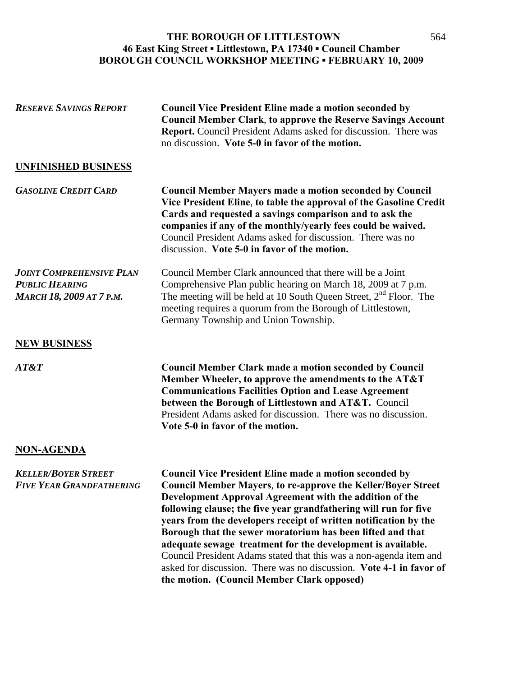| <b>RESERVE SAVINGS REPORT</b>                                                               | <b>Council Vice President Eline made a motion seconded by</b><br><b>Council Member Clark, to approve the Reserve Savings Account</b><br>Report. Council President Adams asked for discussion. There was<br>no discussion. Vote 5-0 in favor of the motion.                                                                                                                                                                                                                                                                                                                                                                                                      |
|---------------------------------------------------------------------------------------------|-----------------------------------------------------------------------------------------------------------------------------------------------------------------------------------------------------------------------------------------------------------------------------------------------------------------------------------------------------------------------------------------------------------------------------------------------------------------------------------------------------------------------------------------------------------------------------------------------------------------------------------------------------------------|
| <b>UNFINISHED BUSINESS</b>                                                                  |                                                                                                                                                                                                                                                                                                                                                                                                                                                                                                                                                                                                                                                                 |
| <b>GASOLINE CREDIT CARD</b>                                                                 | <b>Council Member Mayers made a motion seconded by Council</b><br>Vice President Eline, to table the approval of the Gasoline Credit<br>Cards and requested a savings comparison and to ask the<br>companies if any of the monthly/yearly fees could be waived.<br>Council President Adams asked for discussion. There was no<br>discussion. Vote 5-0 in favor of the motion.                                                                                                                                                                                                                                                                                   |
| <b>JOINT COMPREHENSIVE PLAN</b><br><b>PUBLIC HEARING</b><br><b>MARCH 18, 2009 AT 7 P.M.</b> | Council Member Clark announced that there will be a Joint<br>Comprehensive Plan public hearing on March 18, 2009 at 7 p.m.<br>The meeting will be held at 10 South Queen Street, $2nd$ Floor. The<br>meeting requires a quorum from the Borough of Littlestown,<br>Germany Township and Union Township.                                                                                                                                                                                                                                                                                                                                                         |
| <b>NEW BUSINESS</b>                                                                         |                                                                                                                                                                                                                                                                                                                                                                                                                                                                                                                                                                                                                                                                 |
| AT&T                                                                                        | <b>Council Member Clark made a motion seconded by Council</b><br>Member Wheeler, to approve the amendments to the AT&T<br><b>Communications Facilities Option and Lease Agreement</b><br>between the Borough of Littlestown and AT&T. Council<br>President Adams asked for discussion. There was no discussion.<br>Vote 5-0 in favor of the motion.                                                                                                                                                                                                                                                                                                             |
| <b>NON-AGENDA</b>                                                                           |                                                                                                                                                                                                                                                                                                                                                                                                                                                                                                                                                                                                                                                                 |
| <b>KELLER/BOYER STREET</b><br><b>FIVE YEAR GRANDFATHERING</b>                               | <b>Council Vice President Eline made a motion seconded by</b><br><b>Council Member Mayers, to re-approve the Keller/Boyer Street</b><br>Development Approval Agreement with the addition of the<br>following clause; the five year grandfathering will run for five<br>years from the developers receipt of written notification by the<br>Borough that the sewer moratorium has been lifted and that<br>adequate sewage treatment for the development is available.<br>Council President Adams stated that this was a non-agenda item and<br>asked for discussion. There was no discussion. Vote 4-1 in favor of<br>the motion. (Council Member Clark opposed) |